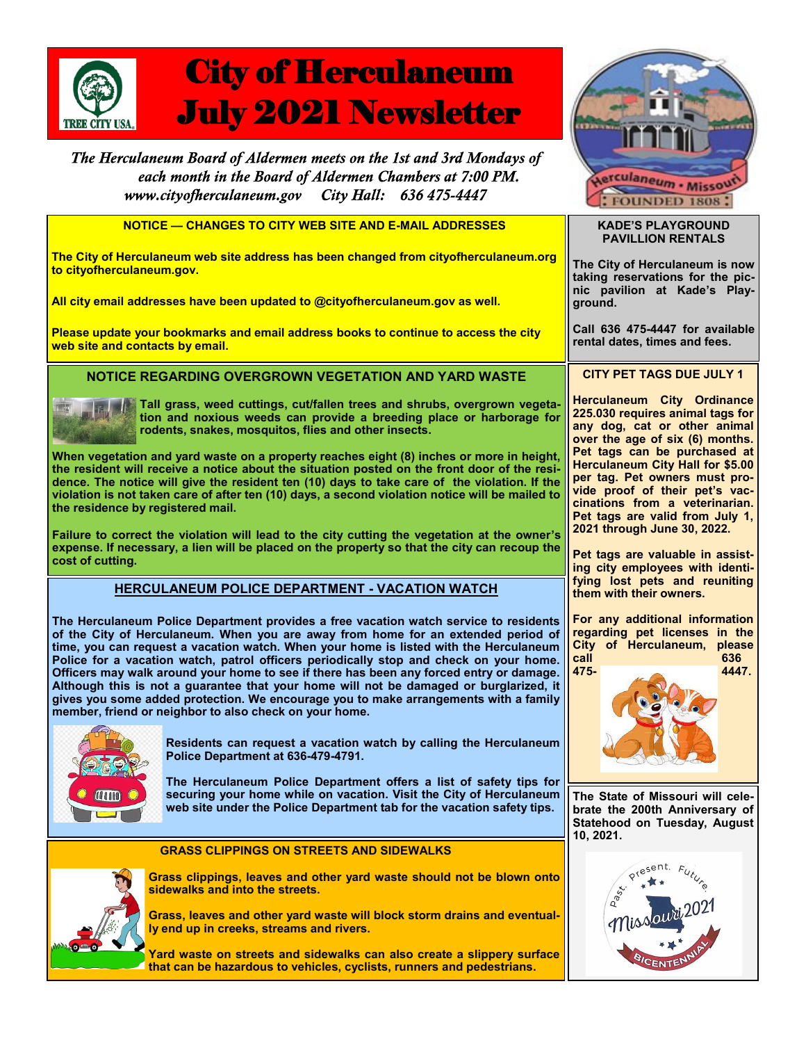

# City of Herculaneum July 2021 Newsletter

The Herculaneum Board of Aldermen meets on the 1st and 3rd Mondays of each month in the Board of Aldermen Chambers at 7:00 PM. City Hall: 636 475-4447 www.cityofherculaneum.gov

 **NOTICE — CHANGES TO CITY WEB SITE AND E-MAIL ADDRESSES**

**The City of Herculaneum web site address has been changed from cityofherculaneum.org to cityofherculaneum.gov.**

**All city email addresses have been updated to @cityofherculaneum.gov as well.**

**Please update your bookmarks and email address books to continue to access the city web site and contacts by email.**

## **NOTICE REGARDING OVERGROWN VEGETATION AND YARD WASTE**



**Tall grass, weed cuttings, cut/fallen trees and shrubs, overgrown vegetation and noxious weeds can provide a breeding place or harborage for rodents, snakes, mosquitos, flies and other insects.**

**When vegetation and yard waste on a property reaches eight (8) inches or more in height, the resident will receive a notice about the situation posted on the front door of the residence. The notice will give the resident ten (10) days to take care of the violation. If the violation is not taken care of after ten (10) days, a second violation notice will be mailed to the residence by registered mail.**

**Failure to correct the violation will lead to the city cutting the vegetation at the owner's expense. If necessary, a lien will be placed on the property so that the city can recoup the cost of cutting.**

## **HERCULANEUM POLICE DEPARTMENT - VACATION WATCH**

**The Herculaneum Police Department provides a free vacation watch service to residents of the City of Herculaneum. When you are away from home for an extended period of time, you can request a vacation watch. When your home is listed with the Herculaneum Police for a vacation watch, patrol officers periodically stop and check on your home. Officers may walk around your home to see if there has been any forced entry or damage. Although this is not a guarantee that your home will not be damaged or burglarized, it gives you some added protection. We encourage you to make arrangements with a family member, friend or neighbor to also check on your home.**



**Residents can request a vacation watch by calling the Herculaneum Police Department at 636-479-4791.**

**The Herculaneum Police Department offers a list of safety tips for securing your home while on vacation. Visit the City of Herculaneum web site under the Police Department tab for the vacation safety tips.**



**GRASS CLIPPINGS ON STREETS AND SIDEWALKS**

**Grass clippings, leaves and other yard waste should not be blown onto sidewalks and into the streets.** 

**Grass, leaves and other yard waste will block storm drains and eventually end up in creeks, streams and rivers.** 

**Yard waste on streets and sidewalks can also create a slippery surface that can be hazardous to vehicles, cyclists, runners and pedestrians.** 



#### **KADE'S PLAYGROUND PAVILLION RENTALS**

**The City of Herculaneum is now taking reservations for the picnic pavilion at Kade's Playground.**

**Call 636 475-4447 for available rental dates, times and fees.**

### **CITY PET TAGS DUE JULY 1**

**Herculaneum City Ordinance 225.030 requires animal tags for any dog, cat or other animal over the age of six (6) months. Pet tags can be purchased at Herculaneum City Hall for \$5.00 per tag. Pet owners must provide proof of their pet's vaccinations from a veterinarian. Pet tags are valid from July 1, 2021 through June 30, 2022.** 

**Pet tags are valuable in assisting city employees with identifying lost pets and reuniting them with their owners.**

**For any additional information regarding pet licenses in the City of Herculaneum, please call 636** 



**The State of Missouri will celebrate the 200th Anniversary of Statehood on Tuesday, August 10, 2021.**